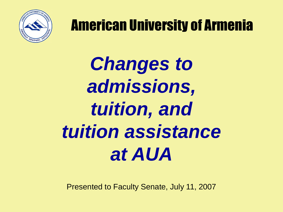

#### American University of Armenia

*Changes to admissions, tuition, and tuition assistance at AUA*

Presented to Faculty Senate, July 11, 2007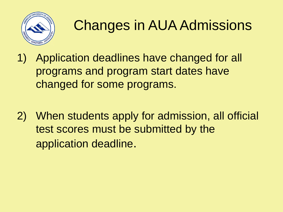

#### Changes in AUA Admissions

- 1) Application deadlines have changed for all programs and program start dates have changed for some programs.
- 2) When students apply for admission, all official test scores must be submitted by the application deadline.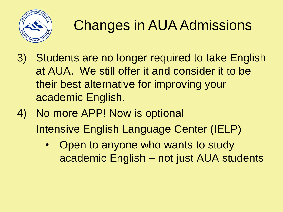

#### Changes in AUA Admissions

- 3) Students are no longer required to take English at AUA. We still offer it and consider it to be their best alternative for improving your academic English.
- 4) No more APP! Now is optional Intensive English Language Center (IELP)
	- Open to anyone who wants to study academic English – not just AUA students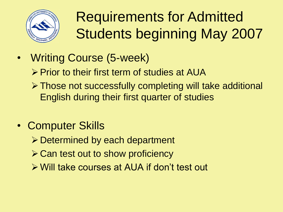

## Requirements for Admitted Students beginning May 2007

• Writing Course (5-week)

 $\triangleright$  Prior to their first term of studies at AUA

- Those not successfully completing will take additional English during their first quarter of studies
- Computer Skills
	- **► Determined by each department**
	- $\triangleright$  Can test out to show proficiency
	- Will take courses at AUA if don't test out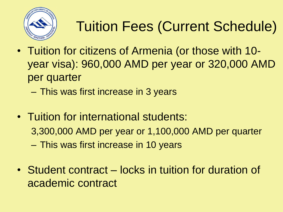

## Tuition Fees (Current Schedule)

- Tuition for citizens of Armenia (or those with 10 year visa): 960,000 AMD per year or 320,000 AMD per quarter
	- This was first increase in 3 years
- Tuition for international students: 3,300,000 AMD per year or 1,100,000 AMD per quarter – This was first increase in 10 years
- Student contract locks in tuition for duration of academic contract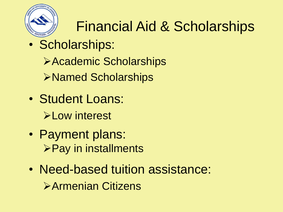

## Financial Aid & Scholarships

- Scholarships:
	- Academic Scholarships
	- Named Scholarships
- Student Loans: **ELOW** interest
- Payment plans: **≻Pay in installments**
- Need-based tuition assistance: **>Armenian Citizens**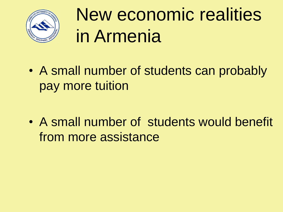

# New economic realities in Armenia

• A small number of students can probably pay more tuition

• A small number of students would benefit from more assistance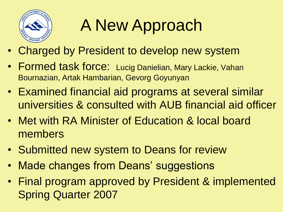

# A New Approach

- Charged by President to develop new system
- Formed task force: Lucig Danielian, Mary Lackie, Vahan Bournazian, Artak Hambarian, Gevorg Goyunyan
- Examined financial aid programs at several similar universities & consulted with AUB financial aid officer
- Met with RA Minister of Education & local board members
- Submitted new system to Deans for review
- Made changes from Deans' suggestions
- Final program approved by President & implemented Spring Quarter 2007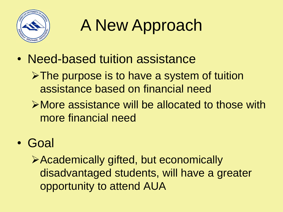

# A New Approach

• Need-based tuition assistance

>The purpose is to have a system of tuition assistance based on financial need

More assistance will be allocated to those with more financial need

#### • Goal

Academically gifted, but economically disadvantaged students, will have a greater opportunity to attend AUA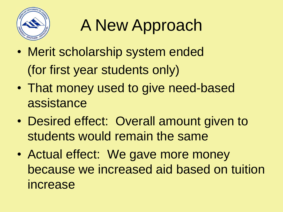

# A New Approach

- Merit scholarship system ended (for first year students only)
- That money used to give need-based assistance
- Desired effect: Overall amount given to students would remain the same
- Actual effect: We gave more money because we increased aid based on tuition increase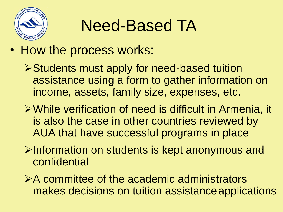

# Need-Based TA

- How the process works:
	- Students must apply for need-based tuition assistance using a form to gather information on income, assets, family size, expenses, etc.
	- While verification of need is difficult in Armenia, it is also the case in other countries reviewed by AUA that have successful programs in place
	- **≻Information on students is kept anonymous and** confidential
	- **≻A committee of the academic administrators** makes decisions on tuition assistance applications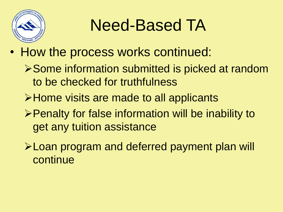

# Need-Based TA

- How the process works continued:
	- **≻Some information submitted is picked at random** to be checked for truthfulness
	- >Home visits are made to all applicants
	- Penalty for false information will be inability to get any tuition assistance
	- **Examptogram and deferred payment plan will** continue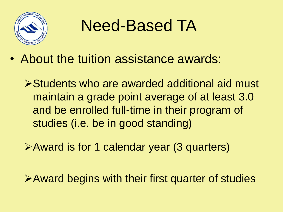

# Need-Based TA

• About the tuition assistance awards:

▶ Students who are awarded additional aid must maintain a grade point average of at least 3.0 and be enrolled full-time in their program of studies (i.e. be in good standing)

Award is for 1 calendar year (3 quarters)

Award begins with their first quarter of studies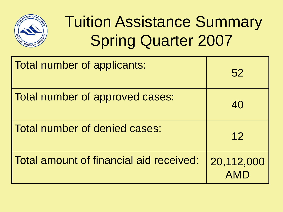

# Tuition Assistance Summary Spring Quarter 2007

| Total number of applicants:             | 52         |
|-----------------------------------------|------------|
| Total number of approved cases:         | 40         |
| Total number of denied cases:           | 12         |
| Total amount of financial aid received: | 20,112,000 |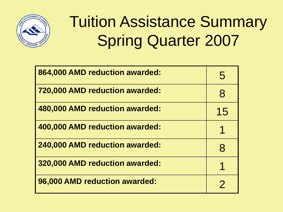

## Tuition Assistance Summary Spring Quarter 2007

| 864,000 AMD reduction awarded: |    |
|--------------------------------|----|
| 720,000 AMD reduction awarded: | 8  |
| 480,000 AMD reduction awarded: | 15 |
| 400,000 AMD reduction awarded: | ◀  |
| 240,000 AMD reduction awarded: | 8  |
| 320,000 AMD reduction awarded: |    |
| 96,000 AMD reduction awarded:  |    |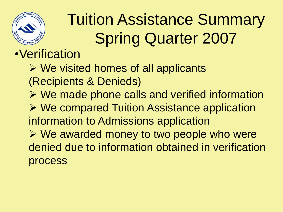

# Tuition Assistance Summary Spring Quarter 2007

#### •Verification

- **▶ We visited homes of all applicants** (Recipients & Denieds)
- ▶ We made phone calls and verified information
- **▶ We compared Tuition Assistance application** information to Admissions application
- We awarded money to two people who were denied due to information obtained in verification process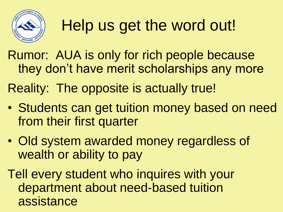

# Help us get the word out!

Rumor: AUA is only for rich people because they don't have merit scholarships any more Reality: The opposite is actually true!

- Students can get tuition money based on need from their first quarter
- Old system awarded money regardless of wealth or ability to pay

Tell every student who inquires with your department about need-based tuition assistance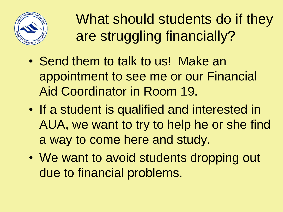

What should students do if they are struggling financially?

- Send them to talk to us! Make an appointment to see me or our Financial Aid Coordinator in Room 19.
- If a student is qualified and interested in AUA, we want to try to help he or she find a way to come here and study.
- We want to avoid students dropping out due to financial problems.